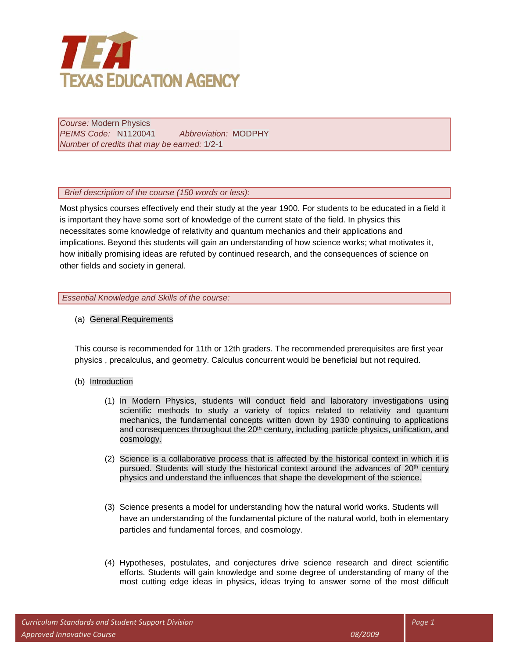

*Course:* Modern Physics *PEIMS Code:* N1120041 *Abbreviation:* MODPHY *Number of credits that may be earned:* 1/2-1

 *Brief description of the course (150 words or less):* 

Most physics courses effectively end their study at the year 1900. For students to be educated in a field it is important they have some sort of knowledge of the current state of the field. In physics this necessitates some knowledge of relativity and quantum mechanics and their applications and implications. Beyond this students will gain an understanding of how science works; what motivates it, how initially promising ideas are refuted by continued research, and the consequences of science on other fields and society in general.

*Essential Knowledge and Skills of the course:*

(a) General Requirements

This course is recommended for 11th or 12th graders. The recommended prerequisites are first year physics , precalculus, and geometry. Calculus concurrent would be beneficial but not required.

- (b) Introduction
	- (1) In Modern Physics, students will conduct field and laboratory investigations using scientific methods to study a variety of topics related to relativity and quantum mechanics, the fundamental concepts written down by 1930 continuing to applications and consequences throughout the 20<sup>th</sup> century, including particle physics, unification, and cosmology.
	- (2) Science is a collaborative process that is affected by the historical context in which it is pursued. Students will study the historical context around the advances of  $20<sup>th</sup>$  century physics and understand the influences that shape the development of the science.
	- (3) Science presents a model for understanding how the natural world works. Students will have an understanding of the fundamental picture of the natural world, both in elementary particles and fundamental forces, and cosmology.
	- (4) Hypotheses, postulates, and conjectures drive science research and direct scientific efforts. Students will gain knowledge and some degree of understanding of many of the most cutting edge ideas in physics, ideas trying to answer some of the most difficult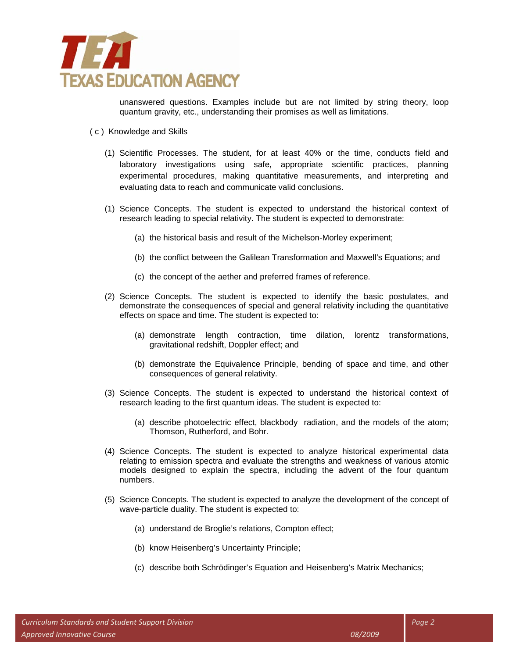

unanswered questions. Examples include but are not limited by string theory, loop quantum gravity, etc., understanding their promises as well as limitations.

- ( c ) Knowledge and Skills
	- (1) Scientific Processes. The student, for at least 40% or the time, conducts field and laboratory investigations using safe, appropriate scientific practices, planning experimental procedures, making quantitative measurements, and interpreting and evaluating data to reach and communicate valid conclusions.
	- (1) Science Concepts. The student is expected to understand the historical context of research leading to special relativity. The student is expected to demonstrate:
		- (a) the historical basis and result of the Michelson-Morley experiment;
		- (b) the conflict between the Galilean Transformation and Maxwell's Equations; and
		- (c) the concept of the aether and preferred frames of reference.
	- (2) Science Concepts. The student is expected to identify the basic postulates, and demonstrate the consequences of special and general relativity including the quantitative effects on space and time. The student is expected to:
		- (a) demonstrate length contraction, time dilation, lorentz transformations, gravitational redshift, Doppler effect; and
		- (b) demonstrate the Equivalence Principle, bending of space and time, and other consequences of general relativity.
	- (3) Science Concepts. The student is expected to understand the historical context of research leading to the first quantum ideas. The student is expected to:
		- (a) describe photoelectric effect, blackbody radiation, and the models of the atom; Thomson, Rutherford, and Bohr.
	- (4) Science Concepts. The student is expected to analyze historical experimental data relating to emission spectra and evaluate the strengths and weakness of various atomic models designed to explain the spectra, including the advent of the four quantum numbers.
	- (5) Science Concepts. The student is expected to analyze the development of the concept of wave-particle duality. The student is expected to:
		- (a) understand de Broglie's relations, Compton effect;
		- (b) know Heisenberg's Uncertainty Principle;
		- (c) describe both Schrödinger's Equation and Heisenberg's Matrix Mechanics;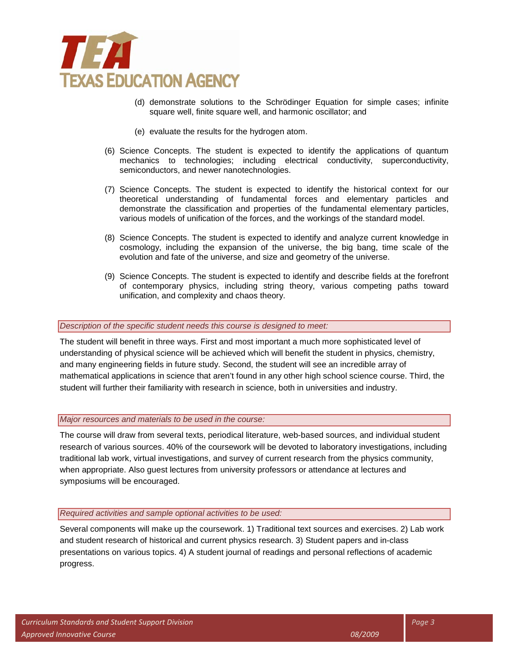

- (d) demonstrate solutions to the Schrödinger Equation for simple cases; infinite square well, finite square well, and harmonic oscillator; and
- (e) evaluate the results for the hydrogen atom.
- (6) Science Concepts. The student is expected to identify the applications of quantum mechanics to technologies; including electrical conductivity, superconductivity, semiconductors, and newer nanotechnologies.
- (7) Science Concepts. The student is expected to identify the historical context for our theoretical understanding of fundamental forces and elementary particles and demonstrate the classification and properties of the fundamental elementary particles, various models of unification of the forces, and the workings of the standard model.
- (8) Science Concepts. The student is expected to identify and analyze current knowledge in cosmology, including the expansion of the universe, the big bang, time scale of the evolution and fate of the universe, and size and geometry of the universe.
- (9) Science Concepts. The student is expected to identify and describe fields at the forefront of contemporary physics, including string theory, various competing paths toward unification, and complexity and chaos theory.

### *Description of the specific student needs this course is designed to meet:*

The student will benefit in three ways. First and most important a much more sophisticated level of understanding of physical science will be achieved which will benefit the student in physics, chemistry, and many engineering fields in future study. Second, the student will see an incredible array of mathematical applications in science that aren't found in any other high school science course. Third, the student will further their familiarity with research in science, both in universities and industry.

### *Major resources and materials to be used in the course:*

The course will draw from several texts, periodical literature, web-based sources, and individual student research of various sources. 40% of the coursework will be devoted to laboratory investigations, including traditional lab work, virtual investigations, and survey of current research from the physics community, when appropriate. Also guest lectures from university professors or attendance at lectures and symposiums will be encouraged.

#### *Required activities and sample optional activities to be used:*

Several components will make up the coursework. 1) Traditional text sources and exercises. 2) Lab work and student research of historical and current physics research. 3) Student papers and in-class presentations on various topics. 4) A student journal of readings and personal reflections of academic progress.